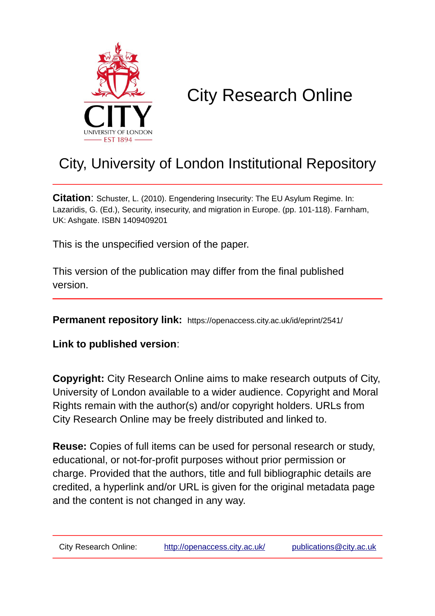

# City Research Online

# City, University of London Institutional Repository

**Citation**: Schuster, L. (2010). Engendering Insecurity: The EU Asylum Regime. In: Lazaridis, G. (Ed.), Security, insecurity, and migration in Europe. (pp. 101-118). Farnham, UK: Ashgate. ISBN 1409409201

This is the unspecified version of the paper.

This version of the publication may differ from the final published version.

**Permanent repository link:** https://openaccess.city.ac.uk/id/eprint/2541/

**Link to published version**:

**Copyright:** City Research Online aims to make research outputs of City, University of London available to a wider audience. Copyright and Moral Rights remain with the author(s) and/or copyright holders. URLs from City Research Online may be freely distributed and linked to.

**Reuse:** Copies of full items can be used for personal research or study, educational, or not-for-profit purposes without prior permission or charge. Provided that the authors, title and full bibliographic details are credited, a hyperlink and/or URL is given for the original metadata page and the content is not changed in any way.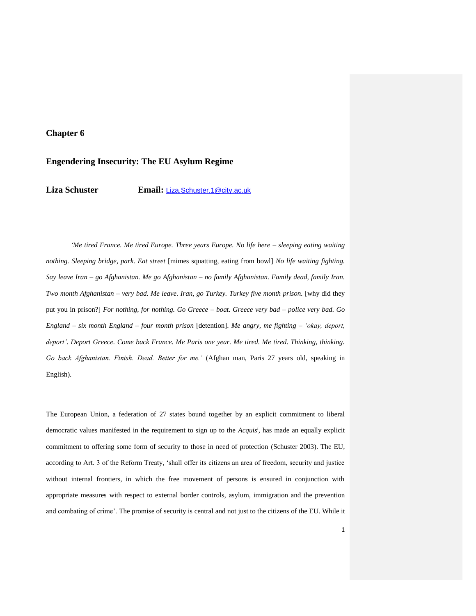## **Chapter 6**

### **Engendering Insecurity: The EU Asylum Regime**

**Liza Schuster Email:** [Liza.Schuster.1@city.ac.uk](mailto:Liza.Schuster.1@city.ac.uk)

*'Me tired France. Me tired Europe. Three years Europe. No life here – sleeping eating waiting nothing. Sleeping bridge, park. Eat street* [mimes squatting, eating from bowl] *No life waiting fighting. Say leave Iran – go Afghanistan. Me go Afghanistan – no family Afghanistan. Family dead, family Iran. Two month Afghanistan – very bad. Me leave. Iran, go Turkey. Turkey five month prison.* [why did they put you in prison?] *For nothing, for nothing. Go Greece – boat. Greece very bad – police very bad. Go England – six month England – four month prison* [detention]. *Me angry, me fighting – 'okay, deport,*  deport'. Deport Greece. Come back France. Me Paris one year. Me tired. Me tired. Thinking, thinking. *Go back Afghanistan. Finish. Dead. Better for me.'* (Afghan man, Paris 27 years old, speaking in English).

The European Union, a federation of 27 states bound together by an explicit commitment to liberal democratic values manifested in the requirement to sign up to the *Acquis<sup>i</sup> ,* has made an equally explicit commitment to offering some form of security to those in need of protection (Schuster 2003). The EU, according to Art. 3 of the Reform Treaty, 'shall offer its citizens an area of freedom, security and justice without internal frontiers, in which the free movement of persons is ensured in conjunction with appropriate measures with respect to external border controls, asylum, immigration and the prevention and combating of crime'. The promise of security is central and not just to the citizens of the EU. While it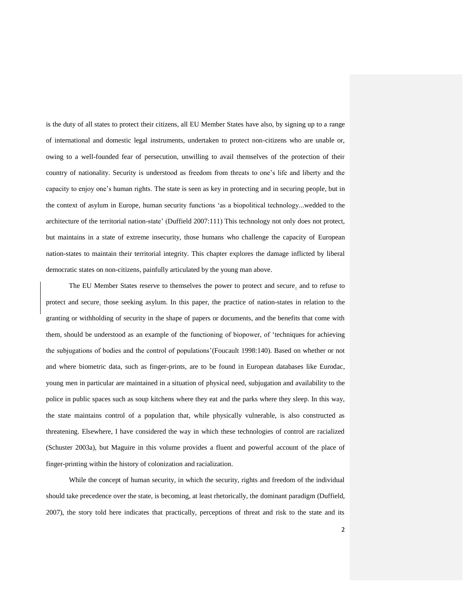is the duty of all states to protect their citizens, all EU Member States have also, by signing up to a range of international and domestic legal instruments, undertaken to protect non-citizens who are unable or, owing to a well-founded fear of persecution, unwilling to avail themselves of the protection of their country of nationality. Security is understood as freedom from threats to one's life and liberty and the capacity to enjoy one's human rights. The state is seen as key in protecting and in securing people, but in the context of asylum in Europe, human security functions 'as a biopolitical technology...wedded to the architecture of the territorial nation-state' (Duffield 2007:111) This technology not only does not protect, but maintains in a state of extreme insecurity, those humans who challenge the capacity of European nation-states to maintain their territorial integrity. This chapter explores the damage inflicted by liberal democratic states on non-citizens, painfully articulated by the young man above.

The EU Member States reserve to themselves the power to protect and secure, and to refuse to protect and secure, those seeking asylum. In this paper, the practice of nation-states in relation to the granting or withholding of security in the shape of papers or documents, and the benefits that come with them, should be understood as an example of the functioning of biopower, of 'techniques for achieving the subjugations of bodies and the control of populations'(Foucault 1998:140). Based on whether or not and where biometric data, such as finger-prints, are to be found in European databases like Eurodac, young men in particular are maintained in a situation of physical need, subjugation and availability to the police in public spaces such as soup kitchens where they eat and the parks where they sleep. In this way, the state maintains control of a population that, while physically vulnerable, is also constructed as threatening. Elsewhere, I have considered the way in which these technologies of control are racialized (Schuster 2003a), but Maguire in this volume provides a fluent and powerful account of the place of finger-printing within the history of colonization and racialization.

While the concept of human security, in which the security, rights and freedom of the individual should take precedence over the state, is becoming, at least rhetorically, the dominant paradigm (Duffield, 2007), the story told here indicates that practically, perceptions of threat and risk to the state and its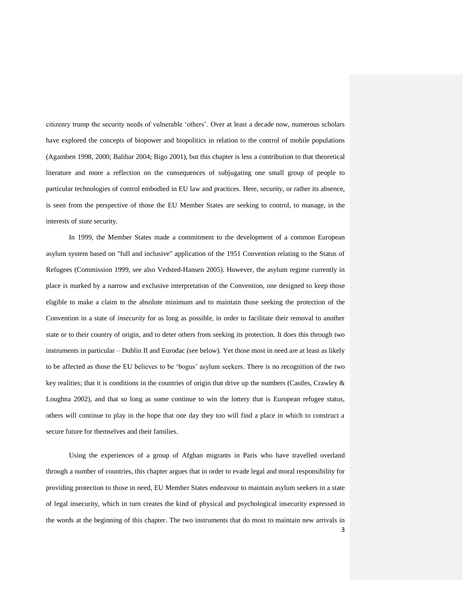citizenry trump the security needs of vulnerable 'others'. Over at least a decade now, numerous scholars have explored the concepts of biopower and biopolitics in relation to the control of mobile populations (Agamben 1998, 2000; Balibar 2004; Bigo 2001), but this chapter is less a contribution to that theoretical literature and more a reflection on the consequences of subjugating one small group of people to particular technologies of control embodied in EU law and practices. Here, security, or rather its absence, is seen from the perspective of those the EU Member States are seeking to control, to manage, in the interests of *state* security.

In 1999, the Member States made a commitment to the development of a common European asylum system based on "full and inclusive" application of the 1951 Convention relating to the Status of Refugees (Commission 1999, see also Vedsted-Hansen 2005). However, the asylum regime currently in place is marked by a narrow and exclusive interpretation of the Convention, one designed to keep those eligible to make a claim to the absolute minimum and to maintain those seeking the protection of the Convention in a state of *insecurity* for as long as possible, in order to facilitate their removal to another state or to their country of origin, and to deter others from seeking its protection. It does this through two instruments in particular – Dublin II and Eurodac (see below). Yet those most in need are at least as likely to be affected as those the EU believes to be 'bogus' asylum seekers. There is no recognition of the two key realities; that it is conditions in the countries of origin that drive up the numbers (Castles, Crawley & Loughna 2002), and that so long as some continue to win the lottery that is European refugee status, others will continue to play in the hope that one day they too will find a place in which to construct a secure future for themselves and their families.

3 Using the experiences of a group of Afghan migrants in Paris who have travelled overland through a number of countries, this chapter argues that in order to evade legal and moral responsibility for providing protection to those in need, EU Member States endeavour to maintain asylum seekers in a state of legal insecurity, which in turn creates the kind of physical and psychological insecurity expressed in the words at the beginning of this chapter. The two instruments that do most to maintain new arrivals in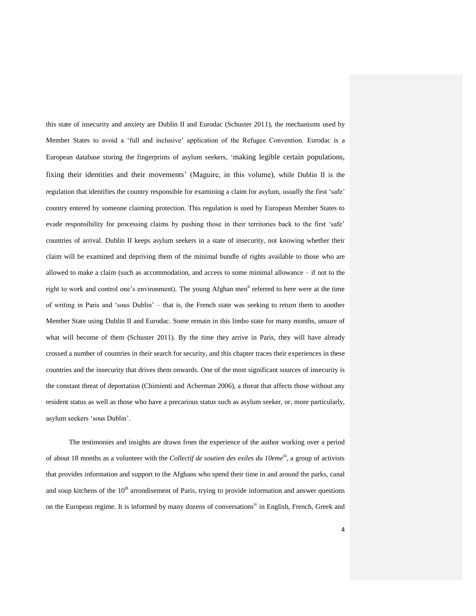this state of insecurity and anxiety are Dublin II and Eurodac (Schuster 2011), the mechanisms used by Member States to avoid a 'full and inclusive' application of the Refugee Convention. Eurodac is a European database storing the fingerprints of asylum seekers, 'making legible certain populations, fixing their identities and their movements' (Maguire, in this volume), while Dublin II is the regulation that identifies the country responsible for examining a claim for asylum, usually the first 'safe' country entered by someone claiming protection. This regulation is used by European Member States to evade responsibility for processing claims by pushing those in their territories back to the first 'safe' countries of arrival. Dublin II keeps asylum seekers in a state of insecurity, not knowing whether their claim will be examined and depriving them of the minimal bundle of rights available to those who are allowed to make a claim (such as accommodation, and access to some minimal allowance – if not to the right to work and control one's environment). The young Afghan men<sup>11</sup> referred to here were at the time of writing in Paris and 'sous Dublin' – that is, the French state was seeking to return them to another Member State using Dublin II and Eurodac. Some remain in this limbo state for many months, unsure of what will become of them (Schuster 2011). By the time they arrive in Paris, they will have already crossed a number of countries in their search for security, and this chapter traces their experiences in these countries and the insecurity that drives them onwards. One of the most significant sources of insecurity is the constant threat of deportation (Chimienti and Acherman 2006), a threat that affects those without any resident status as well as those who have a precarious status such as asylum seeker, or, more particularly, asylum seekers 'sous Dublin'.

The testimonies and insights are drawn from the experience of the author working over a period of about 18 months as a volunteer with the *Collectif de soutien des exiles du 10eme*<sup>iii</sup>, a group of activists that provides information and support to the Afghans who spend their time in and around the parks, canal and soup kitchens of the  $10<sup>th</sup>$  arrondisement of Paris, trying to provide information and answer questions on the European regime. It is informed by many dozens of conversations<sup>iv</sup> in English, French, Greek and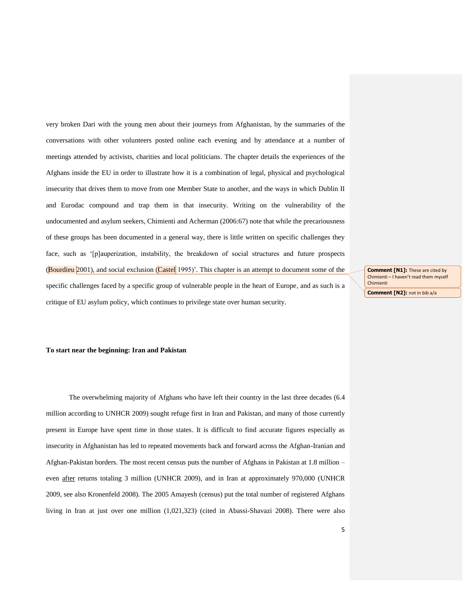very broken Dari with the young men about their journeys from Afghanistan, by the summaries of the conversations with other volunteers posted online each evening and by attendance at a number of meetings attended by activists, charities and local politicians. The chapter details the experiences of the Afghans inside the EU in order to illustrate how it is a combination of legal, physical and psychological insecurity that drives them to move from one Member State to another, and the ways in which Dublin II and Eurodac compound and trap them in that insecurity. Writing on the vulnerability of the undocumented and asylum seekers, Chimienti and Acherman (2006:67) note that while the precariousness of these groups has been documented in a general way, there is little written on specific challenges they face, such as '[p]auperization, instability, the breakdown of social structures and future prospects (Bourdieu 2001), and social exclusion (Castel 1995)'. This chapter is an attempt to document some of the specific challenges faced by a specific group of vulnerable people in the heart of Europe, and as such is a critique of EU asylum policy, which continues to privilege state over human security.

**Comment [N1]:** These are cited by Chimienti – I haven't read them myself Chimienti

**Comment [N2]:** not in bib a/a

#### **To start near the beginning: Iran and Pakistan**

The overwhelming majority of Afghans who have left their country in the last three decades (6.4 million according to UNHCR 2009) sought refuge first in Iran and Pakistan, and many of those currently present in Europe have spent time in those states. It is difficult to find accurate figures especially as insecurity in Afghanistan has led to repeated movements back and forward across the Afghan-Iranian and Afghan-Pakistan borders. The most recent census puts the number of Afghans in Pakistan at 1.8 million – even after returns totaling 3 million (UNHCR 2009), and in Iran at approximately 970,000 (UNHCR 2009, see also Kronenfeld 2008). The 2005 Amayesh (census) put the total number of registered Afghans living in Iran at just over one million (1,021,323) (cited in Abassi-Shavazi 2008). There were also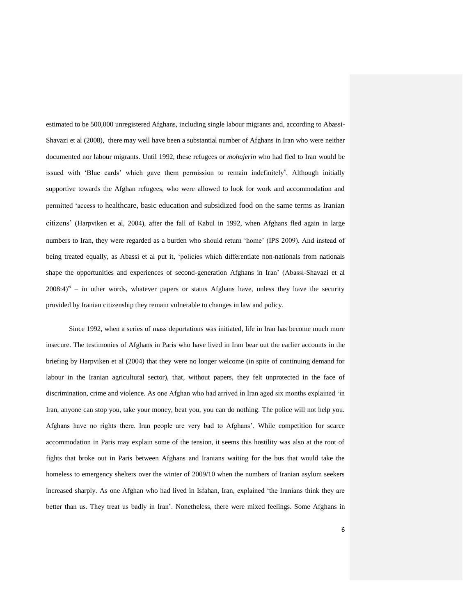estimated to be 500,000 unregistered Afghans, including single labour migrants and, according to Abassi-Shavazi et al (2008), there may well have been a substantial number of Afghans in Iran who were neither documented nor labour migrants. Until 1992, these refugees or *mohajerin* who had fled to Iran would be issued with 'Blue cards' which gave them permission to remain indefinitely'. Although initially supportive towards the Afghan refugees, who were allowed to look for work and accommodation and permitted 'access to healthcare, basic education and subsidized food on the same terms as Iranian citizens' (Harpviken et al, 2004), after the fall of Kabul in 1992, when Afghans fled again in large numbers to Iran, they were regarded as a burden who should return 'home' (IPS 2009). And instead of being treated equally, as Abassi et al put it, 'policies which differentiate non-nationals from nationals shape the opportunities and experiences of second-generation Afghans in Iran' (Abassi-Shavazi et al  $2008:4$ )<sup>vi</sup> – in other words, whatever papers or status Afghans have, unless they have the security provided by Iranian citizenship they remain vulnerable to changes in law and policy.

Since 1992, when a series of mass deportations was initiated, life in Iran has become much more insecure. The testimonies of Afghans in Paris who have lived in Iran bear out the earlier accounts in the briefing by Harpviken et al (2004) that they were no longer welcome (in spite of continuing demand for labour in the Iranian agricultural sector), that, without papers, they felt unprotected in the face of discrimination, crime and violence. As one Afghan who had arrived in Iran aged six months explained 'in Iran, anyone can stop you, take your money, beat you, you can do nothing. The police will not help you. Afghans have no rights there. Iran people are very bad to Afghans'. While competition for scarce accommodation in Paris may explain some of the tension, it seems this hostility was also at the root of fights that broke out in Paris between Afghans and Iranians waiting for the bus that would take the homeless to emergency shelters over the winter of 2009/10 when the numbers of Iranian asylum seekers increased sharply. As one Afghan who had lived in Isfahan, Iran, explained 'the Iranians think they are better than us. They treat us badly in Iran'. Nonetheless, there were mixed feelings. Some Afghans in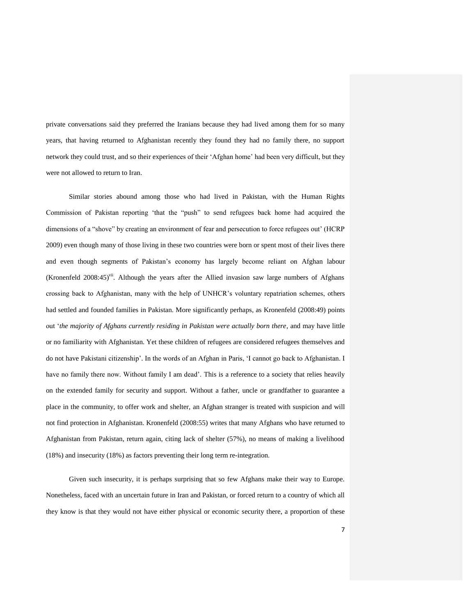private conversations said they preferred the Iranians because they had lived among them for so many years, that having returned to Afghanistan recently they found they had no family there, no support network they could trust, and so their experiences of their 'Afghan home' had been very difficult, but they were not allowed to return to Iran.

Similar stories abound among those who had lived in Pakistan, with the Human Rights Commission of Pakistan reporting 'that the "push" to send refugees back home had acquired the dimensions of a "shove" by creating an environment of fear and persecution to force refugees out' (HCRP 2009) even though many of those living in these two countries were born or spent most of their lives there and even though segments of Pakistan's economy has largely become reliant on Afghan labour (Kronenfeld 2008:45)<sup>vii</sup>. Although the years after the Allied invasion saw large numbers of Afghans crossing back to Afghanistan, many with the help of UNHCR's voluntary repatriation schemes, others had settled and founded families in Pakistan. More significantly perhaps, as Kronenfeld (2008:49) points out '*the majority of Afghans currently residing in Pakistan were actually born there*, and may have little or no familiarity with Afghanistan. Yet these children of refugees are considered refugees themselves and do not have Pakistani citizenship'. In the words of an Afghan in Paris, 'I cannot go back to Afghanistan. I have no family there now. Without family I am dead'. This is a reference to a society that relies heavily on the extended family for security and support. Without a father, uncle or grandfather to guarantee a place in the community, to offer work and shelter, an Afghan stranger is treated with suspicion and will not find protection in Afghanistan. Kronenfeld (2008:55) writes that many Afghans who have returned to Afghanistan from Pakistan, return again, citing lack of shelter (57%), no means of making a livelihood (18%) and insecurity (18%) as factors preventing their long term re-integration.

Given such insecurity, it is perhaps surprising that so few Afghans make their way to Europe. Nonetheless, faced with an uncertain future in Iran and Pakistan, or forced return to a country of which all they know is that they would not have either physical or economic security there, a proportion of these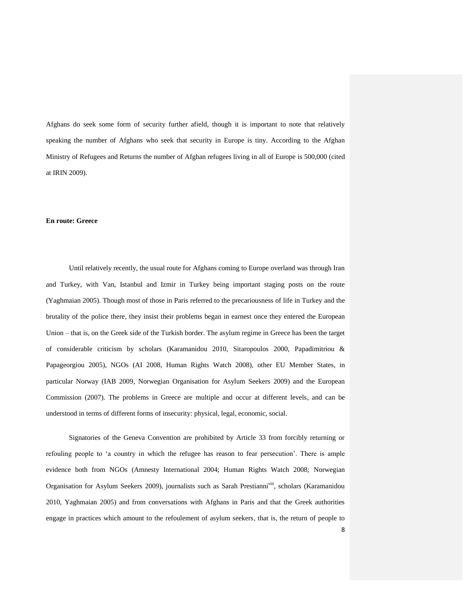Afghans do seek some form of security further afield, though it is important to note that relatively speaking the number of Afghans who seek that security in Europe is tiny. According to the Afghan Ministry of Refugees and Returns the number of Afghan refugees living in all of Europe is 500,000 (cited at IRIN 2009).

#### **En route: Greece**

Until relatively recently, the usual route for Afghans coming to Europe overland was through Iran and Turkey, with Van, Istanbul and Izmir in Turkey being important staging posts on the route (Yaghmaian 2005). Though most of those in Paris referred to the precariousness of life in Turkey and the brutality of the police there, they insist their problems began in earnest once they entered the European Union – that is, on the Greek side of the Turkish border. The asylum regime in Greece has been the target of considerable criticism by scholars (Karamanidou 2010, Sitaropoulos 2000, Papadimitriou & Papageorgiou 2005), NGOs (AI 2008, Human Rights Watch 2008), other EU Member States, in particular Norway (IAB 2009, Norwegian Organisation for Asylum Seekers 2009) and the European Commission (2007). The problems in Greece are multiple and occur at different levels, and can be understood in terms of different forms of insecurity: physical, legal, economic, social.

Signatories of the Geneva Convention are prohibited by Article 33 from forcibly returning or refouling people to 'a country in which the refugee has reason to fear persecution'. There is ample evidence both from NGOs (Amnesty International 2004; Human Rights Watch 2008; Norwegian Organisation for Asylum Seekers 2009), journalists such as Sarah Prestianni<sup>viii</sup>, scholars (Karamanidou 2010, Yaghmaian 2005) and from conversations with Afghans in Paris and that the Greek authorities engage in practices which amount to the refoulement of asylum seekers, that is, the return of people to

8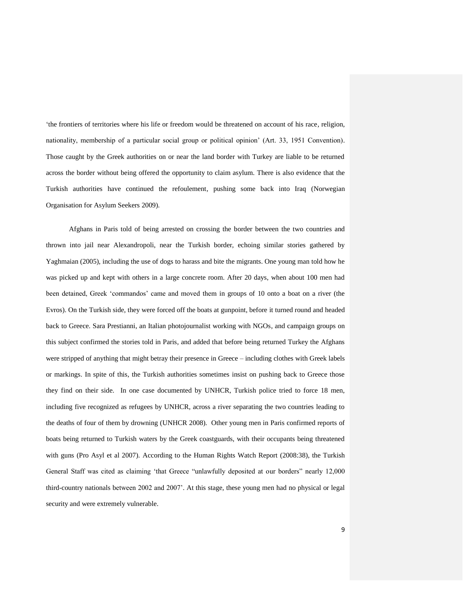'the frontiers of territories where his life or freedom would be threatened on account of his race, religion, nationality, membership of a particular social group or political opinion' (Art. 33, 1951 Convention). Those caught by the Greek authorities on or near the land border with Turkey are liable to be returned across the border without being offered the opportunity to claim asylum. There is also evidence that the Turkish authorities have continued the refoulement, pushing some back into Iraq (Norwegian Organisation for Asylum Seekers 2009).

Afghans in Paris told of being arrested on crossing the border between the two countries and thrown into jail near Alexandropoli, near the Turkish border, echoing similar stories gathered by Yaghmaian (2005), including the use of dogs to harass and bite the migrants. One young man told how he was picked up and kept with others in a large concrete room. After 20 days, when about 100 men had been detained, Greek 'commandos' came and moved them in groups of 10 onto a boat on a river (the Evros). On the Turkish side, they were forced off the boats at gunpoint, before it turned round and headed back to Greece. Sara Prestianni, an Italian photojournalist working with NGOs, and campaign groups on this subject confirmed the stories told in Paris, and added that before being returned Turkey the Afghans were stripped of anything that might betray their presence in Greece – including clothes with Greek labels or markings. In spite of this, the Turkish authorities sometimes insist on pushing back to Greece those they find on their side. In one case documented by UNHCR, Turkish police tried to force 18 men, including five recognized as refugees by UNHCR, across a river separating the two countries leading to the deaths of four of them by drowning (UNHCR 2008). Other young men in Paris confirmed reports of boats being returned to Turkish waters by the Greek coastguards, with their occupants being threatened with guns (Pro Asyl et al 2007). According to the Human Rights Watch Report (2008:38), the Turkish General Staff was cited as claiming 'that Greece "unlawfully deposited at our borders" nearly 12,000 third-country nationals between 2002 and 2007'. At this stage, these young men had no physical or legal security and were extremely vulnerable.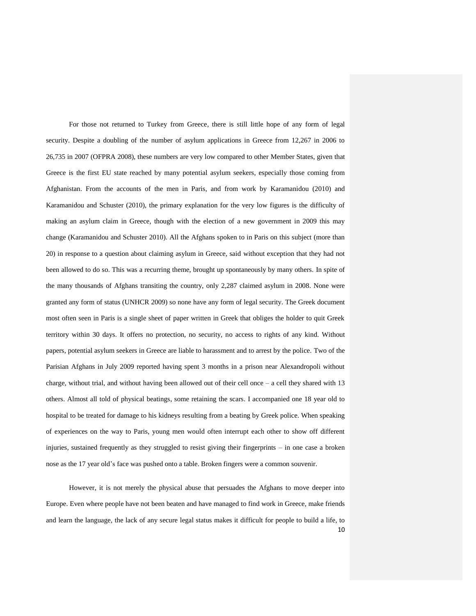For those not returned to Turkey from Greece, there is still little hope of any form of legal security. Despite a doubling of the number of asylum applications in Greece from 12,267 in 2006 to 26,735 in 2007 (OFPRA 2008), these numbers are very low compared to other Member States, given that Greece is the first EU state reached by many potential asylum seekers, especially those coming from Afghanistan. From the accounts of the men in Paris, and from work by Karamanidou (2010) and Karamanidou and Schuster (2010), the primary explanation for the very low figures is the difficulty of making an asylum claim in Greece, though with the election of a new government in 2009 this may change (Karamanidou and Schuster 2010). All the Afghans spoken to in Paris on this subject (more than 20) in response to a question about claiming asylum in Greece, said without exception that they had not been allowed to do so. This was a recurring theme, brought up spontaneously by many others. In spite of the many thousands of Afghans transiting the country, only 2,287 claimed asylum in 2008. None were granted any form of status (UNHCR 2009) so none have any form of legal security. The Greek document most often seen in Paris is a single sheet of paper written in Greek that obliges the holder to quit Greek territory within 30 days. It offers no protection, no security, no access to rights of any kind. Without papers, potential asylum seekers in Greece are liable to harassment and to arrest by the police. Two of the Parisian Afghans in July 2009 reported having spent 3 months in a prison near Alexandropoli without charge, without trial, and without having been allowed out of their cell once – a cell they shared with 13 others. Almost all told of physical beatings, some retaining the scars. I accompanied one 18 year old to hospital to be treated for damage to his kidneys resulting from a beating by Greek police. When speaking of experiences on the way to Paris, young men would often interrupt each other to show off different injuries, sustained frequently as they struggled to resist giving their fingerprints – in one case a broken nose as the 17 year old's face was pushed onto a table. Broken fingers were a common souvenir.

10 However, it is not merely the physical abuse that persuades the Afghans to move deeper into Europe. Even where people have not been beaten and have managed to find work in Greece, make friends and learn the language, the lack of any secure legal status makes it difficult for people to build a life, to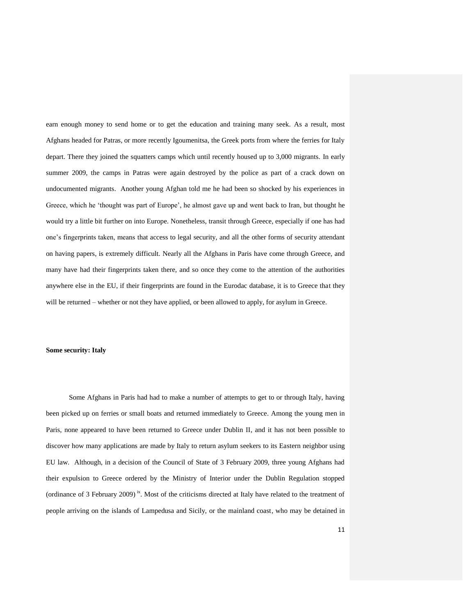earn enough money to send home or to get the education and training many seek. As a result, most Afghans headed for Patras, or more recently Igoumenitsa, the Greek ports from where the ferries for Italy depart. There they joined the squatters camps which until recently housed up to 3,000 migrants. In early summer 2009, the camps in Patras were again destroyed by the police as part of a crack down on undocumented migrants. Another young Afghan told me he had been so shocked by his experiences in Greece, which he 'thought was part of Europe', he almost gave up and went back to Iran, but thought he would try a little bit further on into Europe. Nonetheless, transit through Greece, especially if one has had one's fingerprints taken, means that access to legal security, and all the other forms of security attendant on having papers, is extremely difficult. Nearly all the Afghans in Paris have come through Greece, and many have had their fingerprints taken there, and so once they come to the attention of the authorities anywhere else in the EU, if their fingerprints are found in the Eurodac database, it is to Greece that they will be returned – whether or not they have applied, or been allowed to apply, for asylum in Greece.

#### **Some security: Italy**

Some Afghans in Paris had had to make a number of attempts to get to or through Italy, having been picked up on ferries or small boats and returned immediately to Greece. Among the young men in Paris, none appeared to have been returned to Greece under Dublin II, and it has not been possible to discover how many applications are made by Italy to return asylum seekers to its Eastern neighbor using EU law. Although, in a decision of the Council of State of 3 February 2009, three young Afghans had their expulsion to Greece ordered by the Ministry of Interior under the Dublin Regulation stopped (ordinance of 3 February 2009)<sup>ix</sup>. Most of the criticisms directed at Italy have related to the treatment of people arriving on the islands of Lampedusa and Sicily, or the mainland coast, who may be detained in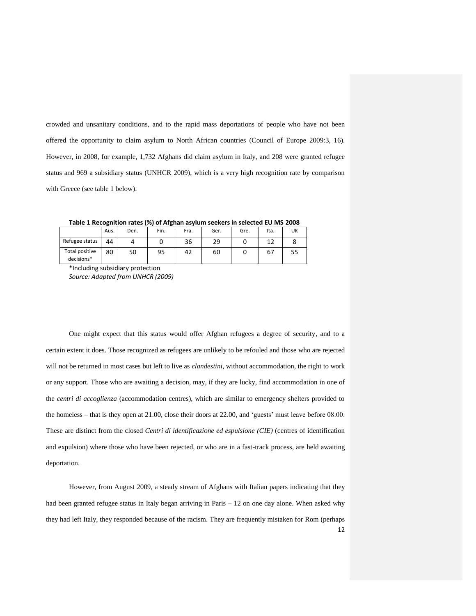crowded and unsanitary conditions, and to the rapid mass deportations of people who have not been offered the opportunity to claim asylum to North African countries (Council of Europe 2009:3, 16). However, in 2008, for example, 1,732 Afghans did claim asylum in Italy, and 208 were granted refugee status and 969 a subsidiary status (UNHCR 2009), which is a very high recognition rate by comparison with Greece (see table 1 below).

**Table 1 Recognition rates (%) of Afghan asylum seekers in selected EU MS 2008**

| --                           |      |      |      |      |      |      |      |    |  |  |
|------------------------------|------|------|------|------|------|------|------|----|--|--|
|                              | Aus. | Den. | Fin. | Fra. | Ger. | Gre. | Ita. | UK |  |  |
| Refugee status               | 44   |      |      | 36   | 29   |      | 12   |    |  |  |
| Total positive<br>decisions* | 80   | 50   | 95   | 42   | 60   |      | 67   | 55 |  |  |

\*Including subsidiary protection *Source: Adapted from UNHCR (2009)*

One might expect that this status would offer Afghan refugees a degree of security, and to a certain extent it does. Those recognized as refugees are unlikely to be refouled and those who are rejected will not be returned in most cases but left to live as *clandestini*, without accommodation, the right to work or any support. Those who are awaiting a decision, may, if they are lucky, find accommodation in one of the *centri di accoglienza* (accommodation centres), which are similar to emergency shelters provided to the homeless – that is they open at 21.00, close their doors at 22.00, and 'guests' must leave before 08.00. These are distinct from the closed *Centri di identificazione ed espulsione (CIE)* (centres of identification and expulsion) where those who have been rejected, or who are in a fast-track process, are held awaiting deportation.

12 However, from August 2009, a steady stream of Afghans with Italian papers indicating that they had been granted refugee status in Italy began arriving in Paris – 12 on one day alone. When asked why they had left Italy, they responded because of the racism. They are frequently mistaken for Rom (perhaps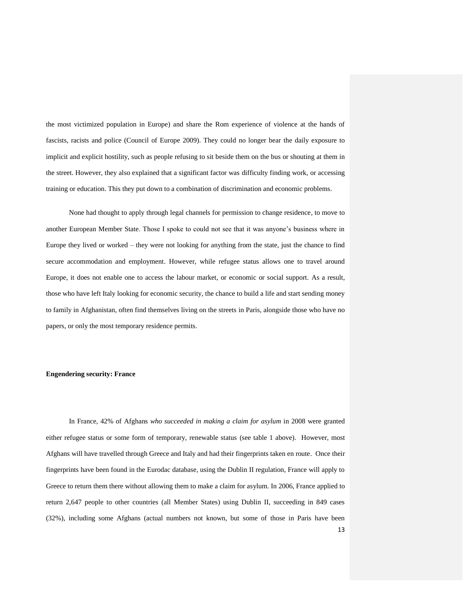the most victimized population in Europe) and share the Rom experience of violence at the hands of fascists, racists and police (Council of Europe 2009). They could no longer bear the daily exposure to implicit and explicit hostility, such as people refusing to sit beside them on the bus or shouting at them in the street. However, they also explained that a significant factor was difficulty finding work, or accessing training or education. This they put down to a combination of discrimination and economic problems.

None had thought to apply through legal channels for permission to change residence, to move to another European Member State. Those I spoke to could not see that it was anyone's business where in Europe they lived or worked – they were not looking for anything from the state, just the chance to find secure accommodation and employment. However, while refugee status allows one to travel around Europe, it does not enable one to access the labour market, or economic or social support. As a result, those who have left Italy looking for economic security, the chance to build a life and start sending money to family in Afghanistan, often find themselves living on the streets in Paris, alongside those who have no papers, or only the most temporary residence permits.

#### **Engendering security: France**

13 In France, 42% of Afghans *who succeeded in making a claim for asylum* in 2008 were granted either refugee status or some form of temporary, renewable status (see table 1 above). However, most Afghans will have travelled through Greece and Italy and had their fingerprints taken en route. Once their fingerprints have been found in the Eurodac database, using the Dublin II regulation, France will apply to Greece to return them there without allowing them to make a claim for asylum. In 2006, France applied to return 2,647 people to other countries (all Member States) using Dublin II, succeeding in 849 cases (32%), including some Afghans (actual numbers not known, but some of those in Paris have been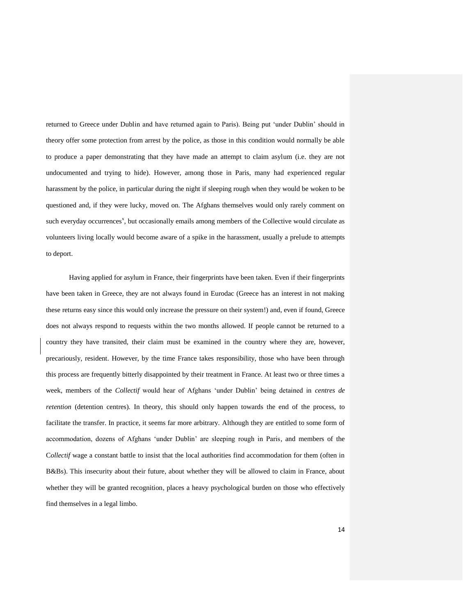returned to Greece under Dublin and have returned again to Paris). Being put 'under Dublin' should in theory offer some protection from arrest by the police, as those in this condition would normally be able to produce a paper demonstrating that they have made an attempt to claim asylum (i.e. they are not undocumented and trying to hide). However, among those in Paris, many had experienced regular harassment by the police, in particular during the night if sleeping rough when they would be woken to be questioned and, if they were lucky, moved on. The Afghans themselves would only rarely comment on such everyday occurrences<sup>x</sup>, but occasionally emails among members of the Collective would circulate as volunteers living locally would become aware of a spike in the harassment, usually a prelude to attempts to deport.

Having applied for asylum in France, their fingerprints have been taken. Even if their fingerprints have been taken in Greece, they are not always found in Eurodac (Greece has an interest in not making these returns easy since this would only increase the pressure on their system!) and, even if found, Greece does not always respond to requests within the two months allowed. If people cannot be returned to a country they have transited, their claim must be examined in the country where they are, however, precariously, resident. However, by the time France takes responsibility, those who have been through this process are frequently bitterly disappointed by their treatment in France. At least two or three times a week, members of the *Collectif* would hear of Afghans 'under Dublin' being detained in *centres de retention* (detention centres)*.* In theory, this should only happen towards the end of the process, to facilitate the transfer. In practice, it seems far more arbitrary. Although they are entitled to some form of accommodation, dozens of Afghans 'under Dublin' are sleeping rough in Paris, and members of the C*ollectif* wage a constant battle to insist that the local authorities find accommodation for them (often in B&Bs). This insecurity about their future, about whether they will be allowed to claim in France, about whether they will be granted recognition, places a heavy psychological burden on those who effectively find themselves in a legal limbo.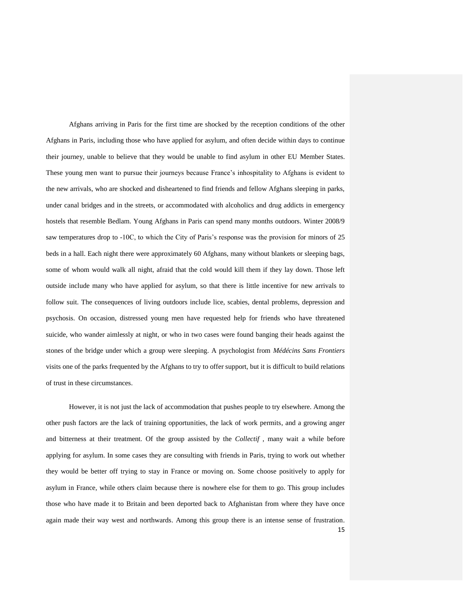Afghans arriving in Paris for the first time are shocked by the reception conditions of the other Afghans in Paris, including those who have applied for asylum, and often decide within days to continue their journey, unable to believe that they would be unable to find asylum in other EU Member States. These young men want to pursue their journeys because France's inhospitality to Afghans is evident to the new arrivals, who are shocked and disheartened to find friends and fellow Afghans sleeping in parks, under canal bridges and in the streets, or accommodated with alcoholics and drug addicts in emergency hostels that resemble Bedlam. Young Afghans in Paris can spend many months outdoors. Winter 2008/9 saw temperatures drop to -10C, to which the City of Paris's response was the provision for minors of 25 beds in a hall. Each night there were approximately 60 Afghans, many without blankets or sleeping bags, some of whom would walk all night, afraid that the cold would kill them if they lay down. Those left outside include many who have applied for asylum, so that there is little incentive for new arrivals to follow suit. The consequences of living outdoors include lice, scabies, dental problems, depression and psychosis. On occasion, distressed young men have requested help for friends who have threatened suicide, who wander aimlessly at night, or who in two cases were found banging their heads against the stones of the bridge under which a group were sleeping. A psychologist from *Médécins Sans Frontiers* visits one of the parks frequented by the Afghans to try to offer support, but it is difficult to build relations of trust in these circumstances.

However, it is not just the lack of accommodation that pushes people to try elsewhere. Among the other push factors are the lack of training opportunities, the lack of work permits, and a growing anger and bitterness at their treatment. Of the group assisted by the *Collectif* , many wait a while before applying for asylum. In some cases they are consulting with friends in Paris, trying to work out whether they would be better off trying to stay in France or moving on. Some choose positively to apply for asylum in France, while others claim because there is nowhere else for them to go. This group includes those who have made it to Britain and been deported back to Afghanistan from where they have once again made their way west and northwards. Among this group there is an intense sense of frustration.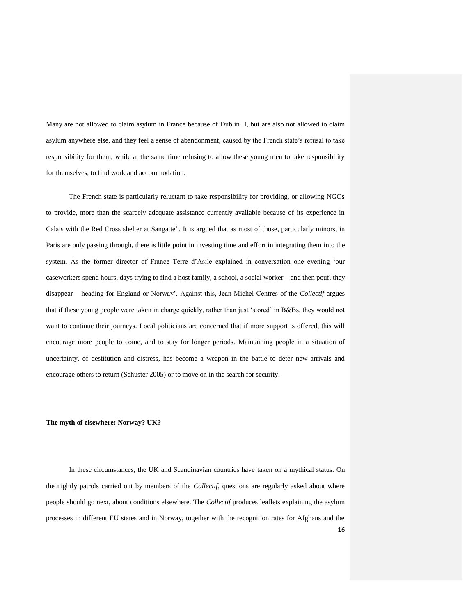Many are not allowed to claim asylum in France because of Dublin II, but are also not allowed to claim asylum anywhere else, and they feel a sense of abandonment, caused by the French state's refusal to take responsibility for them, while at the same time refusing to allow these young men to take responsibility for themselves, to find work and accommodation.

The French state is particularly reluctant to take responsibility for providing, or allowing NGOs to provide, more than the scarcely adequate assistance currently available because of its experience in Calais with the Red Cross shelter at Sangatte<sup>xi</sup>. It is argued that as most of those, particularly minors, in Paris are only passing through, there is little point in investing time and effort in integrating them into the system. As the former director of France Terre d'Asile explained in conversation one evening 'our caseworkers spend hours, days trying to find a host family, a school, a social worker – and then pouf, they disappear – heading for England or Norway'. Against this, Jean Michel Centres of the *Collectif* argues that if these young people were taken in charge quickly, rather than just 'stored' in B&Bs, they would not want to continue their journeys. Local politicians are concerned that if more support is offered, this will encourage more people to come, and to stay for longer periods. Maintaining people in a situation of uncertainty, of destitution and distress, has become a weapon in the battle to deter new arrivals and encourage others to return (Schuster 2005) or to move on in the search for security.

#### **The myth of elsewhere: Norway? UK?**

16 In these circumstances, the UK and Scandinavian countries have taken on a mythical status. On the nightly patrols carried out by members of the *Collectif*, questions are regularly asked about where people should go next, about conditions elsewhere. The *Collectif* produces leaflets explaining the asylum processes in different EU states and in Norway, together with the recognition rates for Afghans and the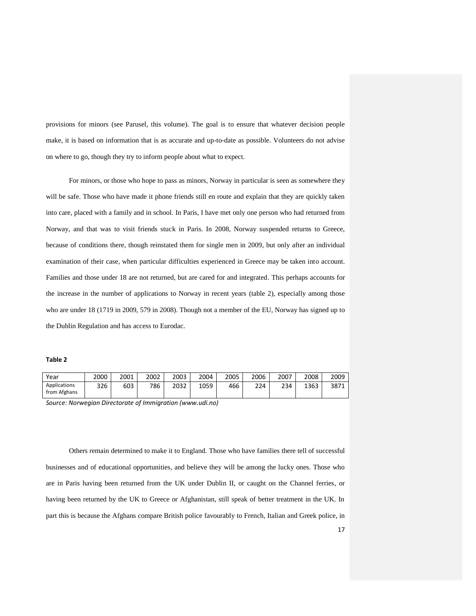provisions for minors (see Parusel, this volume). The goal is to ensure that whatever decision people make, it is based on information that is as accurate and up-to-date as possible. Volunteers do not advise on where to go, though they try to inform people about what to expect.

For minors, or those who hope to pass as minors, Norway in particular is seen as somewhere they will be safe. Those who have made it phone friends still en route and explain that they are quickly taken into care, placed with a family and in school. In Paris, I have met only one person who had returned from Norway, and that was to visit friends stuck in Paris. In 2008, Norway suspended returns to Greece, because of conditions there, though reinstated them for single men in 2009, but only after an individual examination of their case, when particular difficulties experienced in Greece may be taken into account. Families and those under 18 are not returned, but are cared for and integrated. This perhaps accounts for the increase in the number of applications to Norway in recent years (table 2), especially among those who are under 18 (1719 in 2009, 579 in 2008). Though not a member of the EU, Norway has signed up to the Dublin Regulation and has access to Eurodac.

#### **Table 2**

| Year                         | 2000 | 2001 | 2002 | 2003 | 2004 | 2005 | 2006 | 2007 | 2008 | 2009 |
|------------------------------|------|------|------|------|------|------|------|------|------|------|
| Applications<br>from Afghans | 326  | 603  | 786  | 2032 | 1059 | 466  | 224  | 234  | 1363 | 3871 |

*Source: Norwegian Directorate of Immigration (www.udi.no)*

Others remain determined to make it to England. Those who have families there tell of successful businesses and of educational opportunities, and believe they will be among the lucky ones. Those who are in Paris having been returned from the UK under Dublin II, or caught on the Channel ferries, or having been returned by the UK to Greece or Afghanistan, still speak of better treatment in the UK. In part this is because the Afghans compare British police favourably to French, Italian and Greek police, in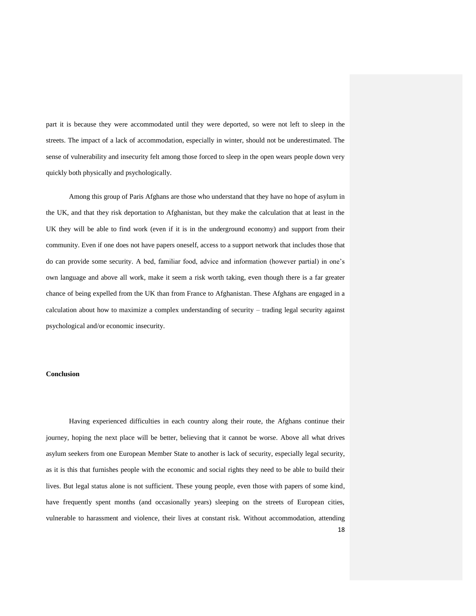part it is because they were accommodated until they were deported, so were not left to sleep in the streets. The impact of a lack of accommodation, especially in winter, should not be underestimated. The sense of vulnerability and insecurity felt among those forced to sleep in the open wears people down very quickly both physically and psychologically.

Among this group of Paris Afghans are those who understand that they have no hope of asylum in the UK, and that they risk deportation to Afghanistan, but they make the calculation that at least in the UK they will be able to find work (even if it is in the underground economy) and support from their community. Even if one does not have papers oneself, access to a support network that includes those that do can provide some security. A bed, familiar food, advice and information (however partial) in one's own language and above all work, make it seem a risk worth taking, even though there is a far greater chance of being expelled from the UK than from France to Afghanistan. These Afghans are engaged in a calculation about how to maximize a complex understanding of security – trading legal security against psychological and/or economic insecurity.

#### **Conclusion**

18 Having experienced difficulties in each country along their route, the Afghans continue their journey, hoping the next place will be better, believing that it cannot be worse. Above all what drives asylum seekers from one European Member State to another is lack of security, especially legal security, as it is this that furnishes people with the economic and social rights they need to be able to build their lives. But legal status alone is not sufficient. These young people, even those with papers of some kind, have frequently spent months (and occasionally years) sleeping on the streets of European cities, vulnerable to harassment and violence, their lives at constant risk. Without accommodation, attending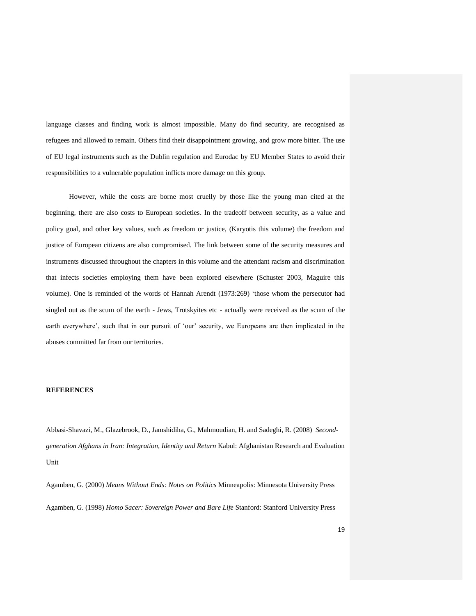language classes and finding work is almost impossible. Many do find security, are recognised as refugees and allowed to remain. Others find their disappointment growing, and grow more bitter. The use of EU legal instruments such as the Dublin regulation and Eurodac by EU Member States to avoid their responsibilities to a vulnerable population inflicts more damage on this group.

However, while the costs are borne most cruelly by those like the young man cited at the beginning, there are also costs to European societies. In the tradeoff between security, as a value and policy goal, and other key values, such as freedom or justice, (Karyotis this volume) the freedom and justice of European citizens are also compromised. The link between some of the security measures and instruments discussed throughout the chapters in this volume and the attendant racism and discrimination that infects societies employing them have been explored elsewhere (Schuster 2003, Maguire this volume). One is reminded of the words of Hannah Arendt (1973:269) 'those whom the persecutor had singled out as the scum of the earth - Jews, Trotskyites etc - actually were received as the scum of the earth everywhere', such that in our pursuit of 'our' security, we Europeans are then implicated in the abuses committed far from our territories.

#### **REFERENCES**

Abbasi-Shavazi, M., Glazebrook, D., Jamshidiha, G., Mahmoudian, H. and Sadeghi, R. (2008) *Secondgeneration Afghans in Iran: Integration, Identity and Return* Kabul: Afghanistan Research and Evaluation Unit

Agamben, G. (2000) *Means Without Ends: Notes on Politics* Minneapolis: Minnesota University Press Agamben, G. (1998) *Homo Sacer: Sovereign Power and Bare Life* Stanford: Stanford University Press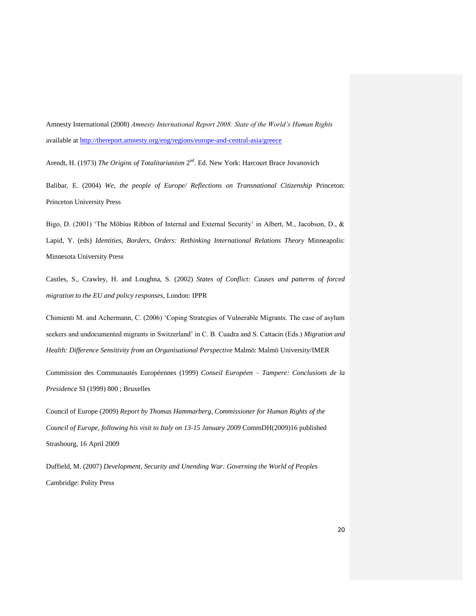Amnesty International (2008) *Amnesty International Report 2008: State of the World's Human Rights* available at<http://thereport.amnesty.org/eng/regions/europe-and-central-asia/greece>

Arendt, H. (1973) *The Origins of Totalitarianism* 2<sup>nd</sup>. Ed. New York: Harcourt Brace Jovanovich

Balibar, E. (2004) *We, the people of Europe/ Reflections on Transnational Citizenship* Princeton: Princeton University Press

Bigo, D. (2001) 'The Möbius Ribbon of Internal and External Security' in Albert, M., Jacobson, D., & Lapid, Y. (eds) *Identities, Borders, Orders: Rethinking International Relations Theory* Minneapolis: Minnesota University Press

Castles, S., Crawley, H. and Loughna, S. (2002) *States of Conflict: Causes and patterns of forced migration to the EU and policy responses*, London: IPPR

Chimienti M. and Achermann, C. (2006) 'Coping Strategies of Vulnerable Migrants. The case of asylum seekers and undocumented migrants in Switzerland' in C. B. Cuadra and S. Cattacin (Eds.) *Migration and Health: Difference Sensitivity from an Organisational Perspective* Malmö: Malmö University/IMER

Commission des Communautés Européennes (1999) *Conseil Européen – Tampere: Conclusions de la Presidence* SI (1999) 800 ; Bruxelles

Council of Europe (2009) *Report by Thomas Hammarberg, Commissioner for Human Rights of the Council of Europe, following his visit to Italy on 13-15 January 2009* CommDH(2009)16 published Strasbourg, 16 April 2009

Duffield, M. (2007) *Development, Security and Unending War: Governing the World of Peoples* Cambridge: Polity Press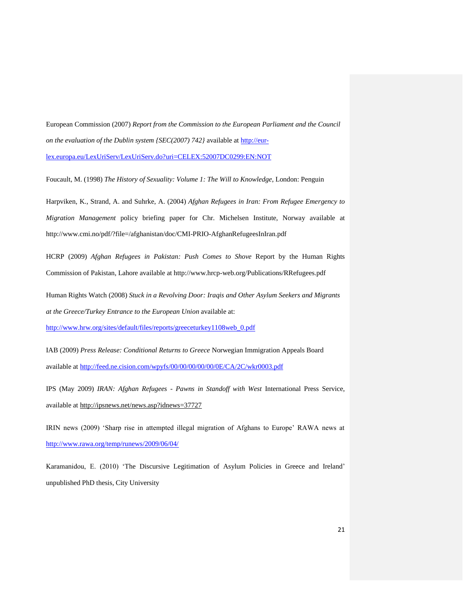European Commission (2007) *Report from the Commission to the European Parliament and the Council on the evaluation of the Dublin system {SEC(2007) 742}* available at [http://eur](http://eur-lex.europa.eu/LexUriServ/LexUriServ.do?uri=CELEX:52007DC0299:EN:NOT)[lex.europa.eu/LexUriServ/LexUriServ.do?uri=CELEX:52007DC0299:EN:NOT](http://eur-lex.europa.eu/LexUriServ/LexUriServ.do?uri=CELEX:52007DC0299:EN:NOT)

Foucault, M. (1998) *The History of Sexuality: Volume 1: The Will to Knowledge*, London: Penguin

Harpviken, K., Strand, A. and Suhrke, A. (2004) *Afghan Refugees in Iran: From Refugee Emergency to Migration Management* policy briefing paper for Chr. Michelsen Institute, Norway available at http://www.cmi.no/pdf/?file=/afghanistan/doc/CMI-PRIO-AfghanRefugeesInIran.pdf

HCRP (2009) *Afghan Refugees in Pakistan: Push Comes to Shove* Report by the Human Rights Commission of Pakistan, Lahore available at http://www.hrcp-web.org/Publications/RRefugees.pdf

Human Rights Watch (2008) *Stuck in a Revolving Door: Iraqis and Other Asylum Seekers and Migrants at the Greece/Turkey Entrance to the European Union* available at:

[http://www.hrw.org/sites/default/files/reports/greeceturkey1108web\\_0.pdf](http://www.hrw.org/sites/default/files/reports/greeceturkey1108web_0.pdf)

IAB (2009) *Press Release: Conditional Returns to Greece* Norwegian Immigration Appeals Board available at<http://feed.ne.cision.com/wpyfs/00/00/00/00/00/0E/CA/2C/wkr0003.pdf>

IPS (May 2009) *IRAN: Afghan Refugees - Pawns in Standoff with West* International Press Service, available at<http://ipsnews.net/news.asp?idnews=37727>

IRIN news (2009) 'Sharp rise in attempted illegal migration of Afghans to Europe' RAWA news at <http://www.rawa.org/temp/runews/2009/06/04/>

Karamanidou, E. (2010) 'The Discursive Legitimation of Asylum Policies in Greece and Ireland' unpublished PhD thesis, City University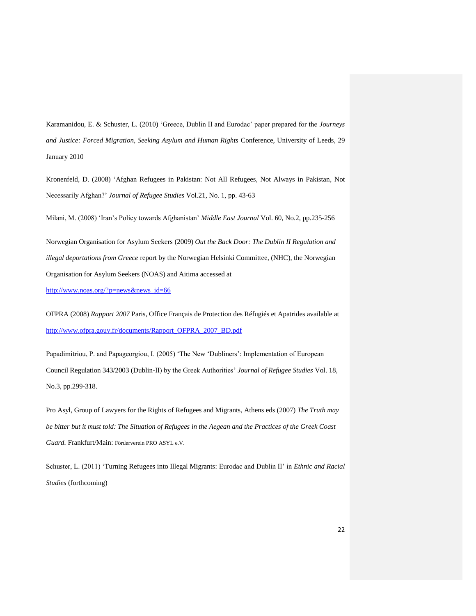Karamanidou, E. & Schuster, L. (2010) 'Greece, Dublin II and Eurodac' paper prepared for the *Journeys and Justice: Forced Migration, Seeking Asylum and Human Rights* Conference, University of Leeds, 29 January 2010

Kronenfeld, D. (2008) 'Afghan Refugees in Pakistan: Not All Refugees, Not Always in Pakistan, Not Necessarily Afghan?' *Journal of Refugee Studies* Vol.21, No. 1, pp. 43-63

Milani, M. (2008) 'Iran's Policy towards Afghanistan' *Middle East Journal* Vol. 60, No.2, pp.235-256

Norwegian Organisation for Asylum Seekers (2009) *Out the Back Door: The Dublin II Regulation and illegal deportations from Greece* report by the Norwegian Helsinki Committee, (NHC), the Norwegian Organisation for Asylum Seekers (NOAS) and Aitima accessed at

[http://www.noas.org/?p=news&news\\_id=66](http://www.noas.org/?p=news&news_id=66)

OFPRA (2008) *Rapport 2007* Paris, Office Français de Protection des Réfugiés et Apatrides available at [http://www.ofpra.gouv.fr/documents/Rapport\\_OFPRA\\_2007\\_BD.pdf](http://www.ofpra.gouv.fr/documents/Rapport_OFPRA_2007_BD.pdf)

Papadimitriou, P. and Papageorgiou, I. (2005) 'The New 'Dubliners': Implementation of European Council Regulation 343/2003 (Dublin-II) by the Greek Authorities' *Journal of Refugee Studies* Vol. 18, No.3, pp.299-318.

Pro Asyl, Group of Lawyers for the Rights of Refugees and Migrants, Athens eds (2007) *The Truth may be bitter but it must told: The Situation of Refugees in the Aegean and the Practices of the Greek Coast Guard.* Frankfurt/Main: Förderverein PRO ASYL e.V.

Schuster, L. (2011) 'Turning Refugees into Illegal Migrants: Eurodac and Dublin II' in *Ethnic and Racial Studies* (forthcoming)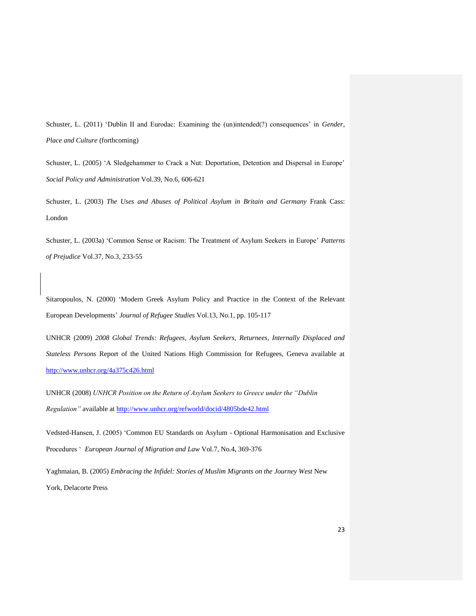Schuster, L. (2011) 'Dublin II and Eurodac: Examining the (un)intended(?) consequences' in *Gender, Place and Culture* (forthcoming)

Schuster, L. (2005) 'A Sledgehammer to Crack a Nut: Deportation, Detention and Dispersal in Europe' *Social Policy and Administration* Vol.39, No.6, 606-621

Schuster, L. (2003) *The Uses and Abuses of Political Asylum in Britain and Germany* Frank Cass: London

Schuster, L. (2003a) 'Common Sense or Racism: The Treatment of Asylum Seekers in Europe' *Patterns of Prejudice* Vol.37, No.3, 233-55

Sitaropoulos, N. (2000) 'Modern Greek Asylum Policy and Practice in the Context of the Relevant European Developments' *Journal of Refugee Studies* Vol.13, No.1, pp. 105-117

UNHCR (2009) *2008 Global Trends: Refugees, Asylum Seekers, Returnees, Internally Displaced and Stateless Persons* Report of the United Nations High Commission for Refugees, Geneva available at <http://www.unhcr.org/4a375c426.html>

UNHCR (2008) *UNHCR Position on the Return of Asylum Seekers to Greece under the "Dublin Regulation"* available at<http://www.unhcr.org/refworld/docid/4805bde42.html>

Vedsted-Hansen, J. (2005) 'Common EU Standards on Asylum - Optional Harmonisation and Exclusive Procedures ' *European Journal of Migration and Law* Vol.7, No.4, 369-376

Yaghmaian, B. (2005) *Embracing the Infidel: Stories of Muslim Migrants on the Journey West* New York, Delacorte Press